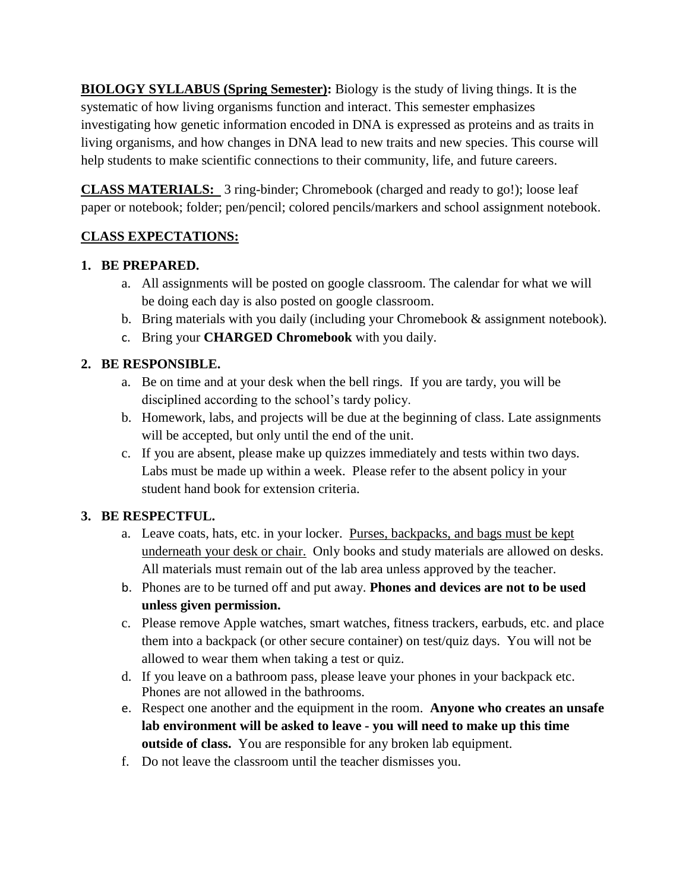**BIOLOGY SYLLABUS (Spring Semester):** Biology is the study of living things. It is the systematic of how living organisms function and interact. This semester emphasizes investigating how genetic information encoded in DNA is expressed as proteins and as traits in living organisms, and how changes in DNA lead to new traits and new species. This course will help students to make scientific connections to their community, life, and future careers.

**CLASS MATERIALS:** 3 ring-binder; Chromebook (charged and ready to go!); loose leaf paper or notebook; folder; pen/pencil; colored pencils/markers and school assignment notebook.

# **CLASS EXPECTATIONS:**

# **1. BE PREPARED.**

- a. All assignments will be posted on google classroom. The calendar for what we will be doing each day is also posted on google classroom.
- b. Bring materials with you daily (including your Chromebook & assignment notebook).
- c. Bring your **CHARGED Chromebook** with you daily.

# **2. BE RESPONSIBLE.**

- a. Be on time and at your desk when the bell rings. If you are tardy, you will be disciplined according to the school's tardy policy.
- b. Homework, labs, and projects will be due at the beginning of class. Late assignments will be accepted, but only until the end of the unit.
- c. If you are absent, please make up quizzes immediately and tests within two days. Labs must be made up within a week. Please refer to the absent policy in your student hand book for extension criteria.

# **3. BE RESPECTFUL.**

- a. Leave coats, hats, etc. in your locker. Purses, backpacks, and bags must be kept underneath your desk or chair. Only books and study materials are allowed on desks. All materials must remain out of the lab area unless approved by the teacher.
- b. Phones are to be turned off and put away. **Phones and devices are not to be used unless given permission.**
- c. Please remove Apple watches, smart watches, fitness trackers, earbuds, etc. and place them into a backpack (or other secure container) on test/quiz days. You will not be allowed to wear them when taking a test or quiz.
- d. If you leave on a bathroom pass, please leave your phones in your backpack etc. Phones are not allowed in the bathrooms.
- e. Respect one another and the equipment in the room. **Anyone who creates an unsafe lab environment will be asked to leave - you will need to make up this time outside of class.** You are responsible for any broken lab equipment.
- f. Do not leave the classroom until the teacher dismisses you.